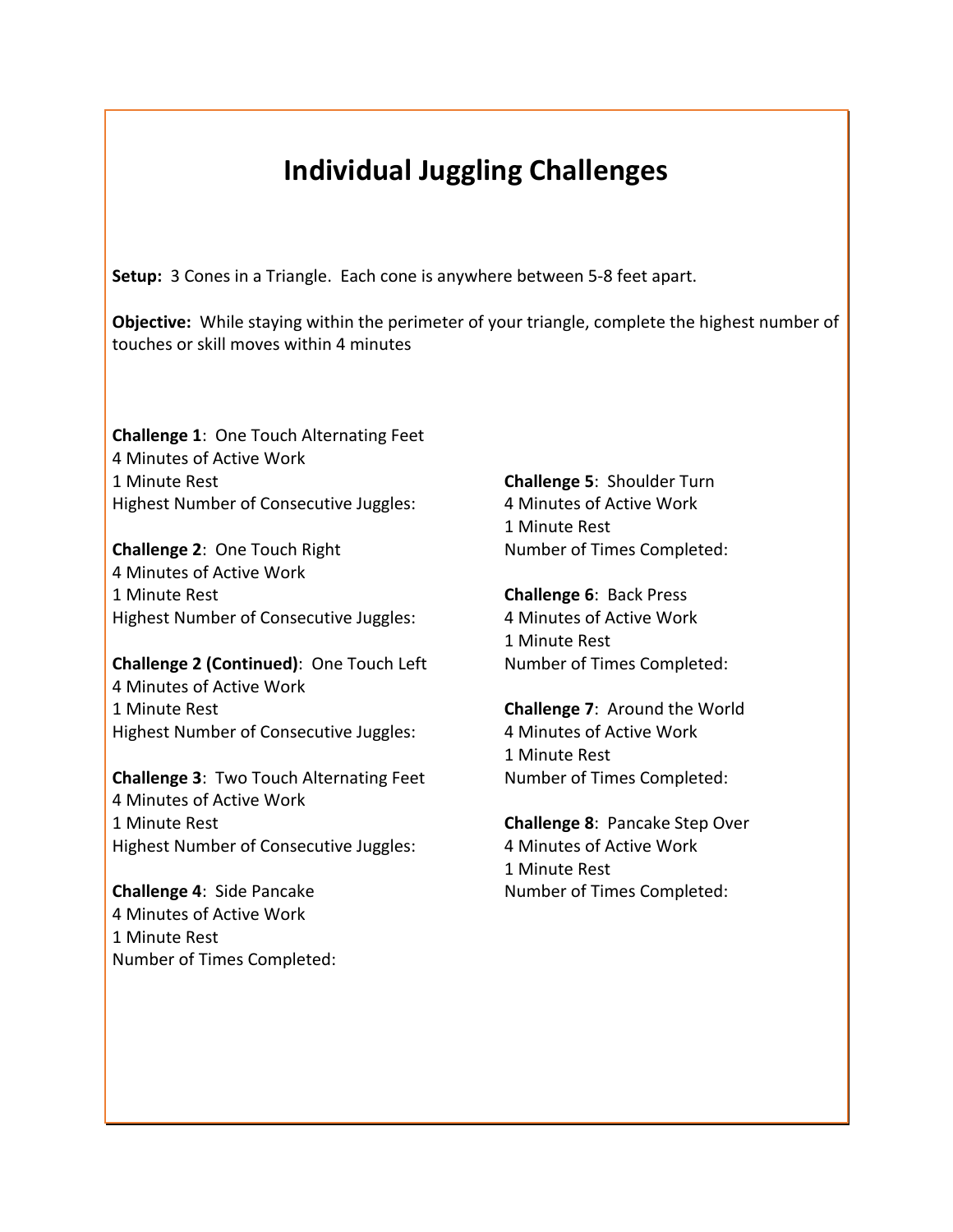## **Individual Juggling Challenges**

**Setup:** 3 Cones in a Triangle. Each cone is anywhere between 5-8 feet apart.

**Objective:** While staying within the perimeter of your triangle, complete the highest number of touches or skill moves within 4 minutes

**Challenge 1:** One Touch Alternating Feet 4 Minutes of Active Work 1 Minute Rest Highest Number of Consecutive Juggles:

**Challenge 2: One Touch Right** 4 Minutes of Active Work 1 Minute Rest Highest Number of Consecutive Juggles:

**Challenge 2 (Continued)**: One Touch Left 4 Minutes of Active Work 1 Minute Rest Highest Number of Consecutive Juggles:

**Challenge 3: Two Touch Alternating Feet** 4 Minutes of Active Work 1 Minute Rest Highest Number of Consecutive Juggles:

**Challenge 4: Side Pancake** 4 Minutes of Active Work 1 Minute Rest Number of Times Completed: **Challenge 5: Shoulder Turn** 4 Minutes of Active Work 1 Minute Rest Number of Times Completed:

**Challenge 6: Back Press** 4 Minutes of Active Work 1 Minute Rest Number of Times Completed:

**Challenge 7: Around the World** 4 Minutes of Active Work 1 Minute Rest Number of Times Completed:

**Challenge 8: Pancake Step Over** 4 Minutes of Active Work 1 Minute Rest Number of Times Completed: